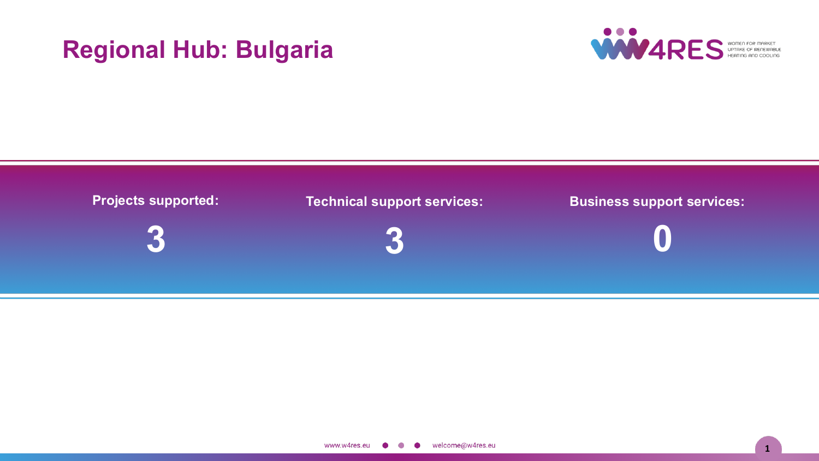# **Regional Hub: Bulgaria**





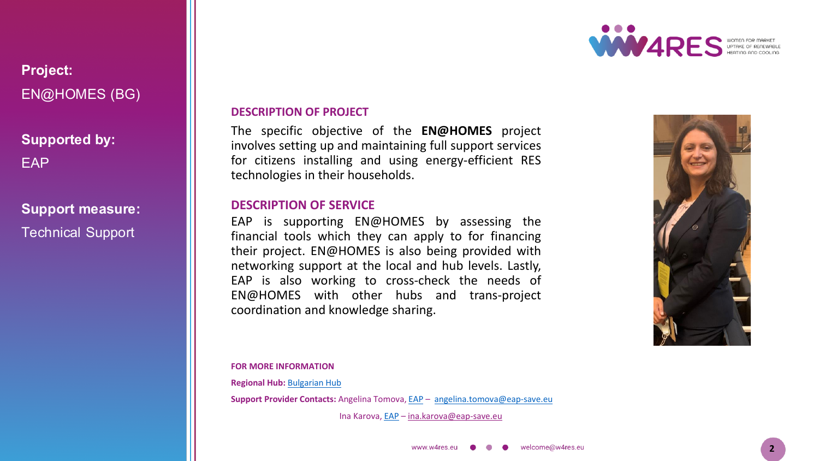

### **Project:** EN@HOMES (BG)

**Supported by:** EAP

## **Support measure:**

Technical Support

### **DESCRIPTION OF PROJECT**

The specific objective of the **EN@HOMES** project involves setting up and maintaining full support services for citizens installing and using energy-efficient RES technologies in their households.

### **DESCRIPTION OF SERVICE**

EAP is supporting EN@HOMES by assessing the financial tools which they can apply to for financing their project. EN@HOMES is also being provided with networking support at the local and hub levels. Lastly, EAP is also working to cross-check the needs of EN@HOMES with other hubs and trans-project coordination and knowledge sharing.



**FOR MORE INFORMATION**

**Regional Hub:** [Bulgarian](https://w4resobservatory.eu/regional-hubs/hub-belgium/) Hub

**Support Provider Contacts:** Angelina Tomova, [EAP](http://www.eap-save.eu/) – [angelina.tomova@eap-save.eu](mailto:angelina.tomova@eap-save.eu)

Ina Karova, [EAP](https://www.eap-save.eu/) - [ina.karova@eap-save.eu](mailto:ina.karova@eap-save.eu)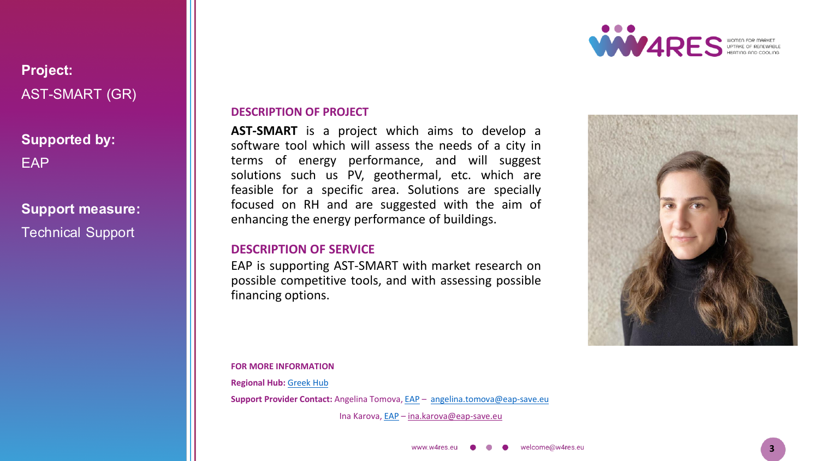

### **Project:** AST-SMART (GR)

# **Supported by:** EAP

### **Support measure:** Technical Support

### **DESCRIPTION OF PROJECT**

**AST-SMART** is a project which aims to develop a software tool which will assess the needs of a city in terms of energy performance, and will suggest solutions such us PV, geothermal, etc. which are feasible for a specific area. Solutions are specially focused on RH and are suggested with the aim of enhancing the energy performance of buildings.

#### **DESCRIPTION OF SERVICE**

EAP is supporting AST-SMART with market research on possible competitive tools, and with assessing possible financing options.

**FOR MORE INFORMATION**

**Regional Hub:** [Greek](https://w4resobservatory.eu/regional-hubs/hub-belgium/) Hub

**Support Provider Contact:** Angelina Tomova, [EAP](http://www.eap-save.eu/) – [angelina.tomova@eap-save.eu](mailto:angelina.tomova@eap-save.eu)

Ina Karova, [EAP](https://www.eap-save.eu/) - [ina.karova@eap-save.eu](mailto:ina.karova@eap-save.eu)